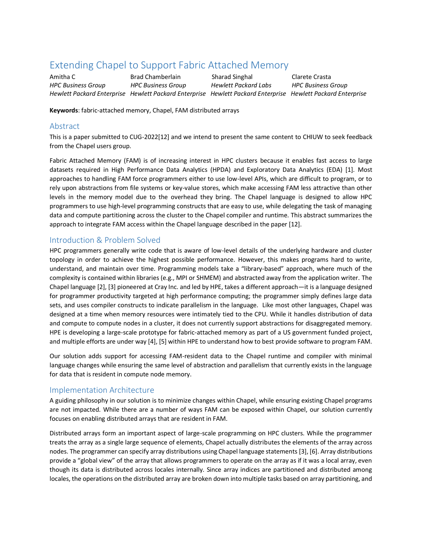# Extending Chapel to Support Fabric Attached Memory

Amitha C Brad Chamberlain Sharad Singhal Clarete Crasta *HPC Business Group HPC Business Group Hewlett Packard Labs HPC Business Group Hewlett Packard Enterprise Hewlett Packard Enterprise Hewlett Packard Enterprise Hewlett Packard Enterprise*

**Keywords**: fabric-attached memory, Chapel, FAM distributed arrays

#### Abstract

This is a paper submitted to CUG-202[2\[12\]](#page-2-0) and we intend to present the same content to CHIUW to seek feedback from the Chapel users group.

Fabric Attached Memory (FAM) is of increasing interest in HPC clusters because it enables fast access to large datasets required in High Performance Data Analytics (HPDA) and Exploratory Data Analytics (EDA) [\[1\].](#page-2-1) Most approaches to handling FAM force programmers either to use low-level APIs, which are difficult to program, or to rely upon abstractions from file systems or key-value stores, which make accessing FAM less attractive than other levels in the memory model due to the overhead they bring. The Chapel language is designed to allow HPC programmers to use high-level programming constructs that are easy to use, while delegating the task of managing data and compute partitioning across the cluster to the Chapel compiler and runtime. This abstract summarizes the approach to integrate FAM access within the Chapel language described in the paper [\[12\].](#page-2-0)

## Introduction & Problem Solved

HPC programmers generally write code that is aware of low-level details of the underlying hardware and cluster topology in order to achieve the highest possible performance. However, this makes programs hard to write, understand, and maintain over time. Programming models take a "library-based" approach, where much of the complexity is contained within libraries (e.g., MPI or SHMEM) and abstracted away from the application writer. The Chapel language [\[2\],](#page-2-2) [\[3\]](#page-2-3) pioneered at Cray Inc. and led by HPE, takes a different approach—it is a language designed for programmer productivity targeted at high performance computing; the programmer simply defines large data sets, and uses compiler constructs to indicate parallelism in the language. Like most other languages, Chapel was designed at a time when memory resources were intimately tied to the CPU. While it handles distribution of data and compute to compute nodes in a cluster, it does not currently support abstractions for disaggregated memory. HPE is developing a large-scale prototype for fabric-attached memory as part of a US government funded project, and multiple efforts are under wa[y \[4\],](#page-2-4) [\[5\]](#page-2-5) within HPE to understand how to best provide software to program FAM.

Our solution adds support for accessing FAM-resident data to the Chapel runtime and compiler with minimal language changes while ensuring the same level of abstraction and parallelism that currently exists in the language for data that is resident in compute node memory.

#### Implementation Architecture

A guiding philosophy in our solution is to minimize changes within Chapel, while ensuring existing Chapel programs are not impacted. While there are a number of ways FAM can be exposed within Chapel, our solution currently focuses on enabling distributed arrays that are resident in FAM.

Distributed arrays form an important aspect of large-scale programming on HPC clusters. While the programmer treats the array as a single large sequence of elements, Chapel actually distributes the elements of the array across nodes. The programmer can specify array distributions using Chapel language statements [\[3\],](#page-2-3) [\[6\].](#page-2-6) Array distributions provide a "global view" of the array that allows programmers to operate on the array as if it was a local array, even though its data is distributed across locales internally. Since array indices are partitioned and distributed among locales, the operations on the distributed array are broken down into multiple tasks based on array partitioning, and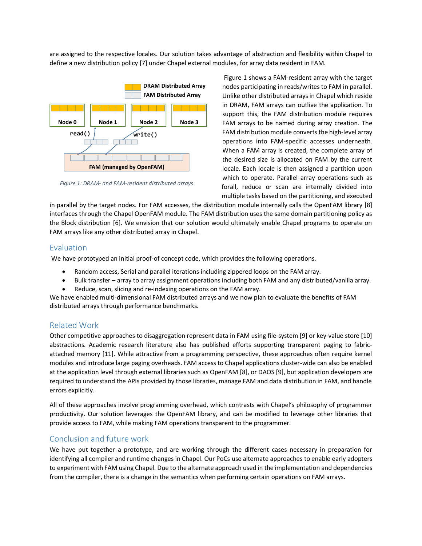are assigned to the respective locales. Our solution takes advantage of abstraction and flexibility within Chapel to define a new distribution polic[y \[7\]](#page-2-7) under Chapel external modules, for array data resident in FAM.



<span id="page-1-0"></span> *Figure 1: DRAM- and FAM-resident distributed arrays*

[Figure 1](#page-1-0) shows a FAM-resident array with the target nodes participating in reads/writes to FAM in parallel. Unlike other distributed arrays in Chapel which reside in DRAM, FAM arrays can outlive the application. To support this, the FAM distribution module requires FAM arrays to be named during array creation. The FAM distribution module converts the high-level array operations into FAM-specific accesses underneath. When a FAM array is created, the complete array of the desired size is allocated on FAM by the current locale. Each locale is then assigned a partition upon which to operate. Parallel array operations such as forall, reduce or scan are internally divided into multiple tasks based on the partitioning, and executed

in parallel by the target nodes. For FAM accesses, the distribution module internally calls the OpenFAM library [\[8\]](#page-2-8) interfaces through the Chapel OpenFAM module. The FAM distribution uses the same domain partitioning policy as the Block distribution [\[6\].](#page-2-6) We envision that our solution would ultimately enable Chapel programs to operate on FAM arrays like any other distributed array in Chapel.

## Evaluation

We have prototyped an initial proof-of concept code, which provides the following operations.

- Random access, Serial and parallel iterations including zippered loops on the FAM array.
- Bulk transfer array to array assignment operations including both FAM and any distributed/vanilla array.
- Reduce, scan, slicing and re-indexing operations on the FAM array.

We have enabled multi-dimensional FAM distributed arrays and we now plan to evaluate the benefits of FAM distributed arrays through performance benchmarks.

# Related Work

Other competitive approaches to disaggregation represent data in FAM using file-system [\[9\]](#page-2-9) or key-value stor[e \[10\]](#page-2-10) abstractions. Academic research literature also has published efforts supporting transparent paging to fabricattached memory [\[11\].](#page-2-11) While attractive from a programming perspective, these approaches often require kernel modules and introduce large paging overheads. FAM access to Chapel applications cluster-wide can also be enabled at the application level through external libraries such as OpenFA[M \[8\],](#page-2-8) or DAO[S \[9\],](#page-2-9) but application developers are required to understand the APIs provided by those libraries, manage FAM and data distribution in FAM, and handle errors explicitly.

All of these approaches involve programming overhead, which contrasts with Chapel's philosophy of programmer productivity. Our solution leverages the OpenFAM library, and can be modified to leverage other libraries that provide access to FAM, while making FAM operations transparent to the programmer.

# Conclusion and future work

We have put together a prototype, and are working through the different cases necessary in preparation for identifying all compiler and runtime changes in Chapel. Our PoCs use alternate approaches to enable early adopters to experiment with FAM using Chapel. Due to the alternate approach used in the implementation and dependencies from the compiler, there is a change in the semantics when performing certain operations on FAM arrays.